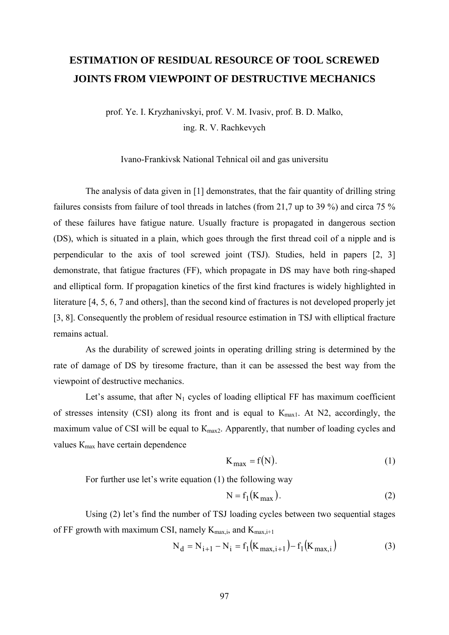## **ESTIMATION OF RESIDUAL RESOURCE OF TOOL SCREWED JOINTS FROM VIEWPOINT OF DESTRUCTIVE MECHANICS**

prof. Ye. I. Kryzhanivskyi, prof. V. M. Ivasiv, prof. B. D. Malko, ing. R. V. Rachkevych

Ivano-Frankivsk National Tehnical oil and gas universitu

The analysis of data given in [1] demonstrates, that the fair quantity of drilling string failures consists from failure of tool threads in latches (from 21,7 up to 39 %) and circa 75 % of these failures have fatigue nature. Usually fracture is propagated in dangerous section (DS), which is situated in a plain, which goes through the first thread coil of a nipple and is perpendicular to the axis of tool screwed joint (TSJ). Studies, held in papers [2, 3] demonstrate, that fatigue fractures (FF), which propagate in DS may have both ring-shaped and elliptical form. If propagation kinetics of the first kind fractures is widely highlighted in literature [4, 5, 6, 7 and others], than the second kind of fractures is not developed properly jet [3, 8]. Consequently the problem of residual resource estimation in TSJ with elliptical fracture remains actual.

As the durability of screwed joints in operating drilling string is determined by the rate of damage of DS by tiresome fracture, than it can be assessed the best way from the viewpoint of destructive mechanics.

Let's assume, that after  $N_1$  cycles of loading elliptical FF has maximum coefficient of stresses intensity (CSI) along its front and is equal to  $K_{\text{max1}}$ . At N2, accordingly, the maximum value of CSI will be equal to  $K_{\text{max}}$ . Apparently, that number of loading cycles and values  $K_{\text{max}}$  have certain dependence

$$
K_{\text{max}} = f(N). \tag{1}
$$

For further use let's write equation (1) the following way

$$
N = f_1(K_{\text{max}}). \tag{2}
$$

Using (2) let's find the number of TSJ loading cycles between two sequential stages of FF growth with maximum CSI, namely  $K_{\text{max,i}}$ , and  $K_{\text{max,i+1}}$ 

$$
N_d = N_{i+1} - N_i = f_1(K_{max,i+1}) - f_1(K_{max,i})
$$
 (3)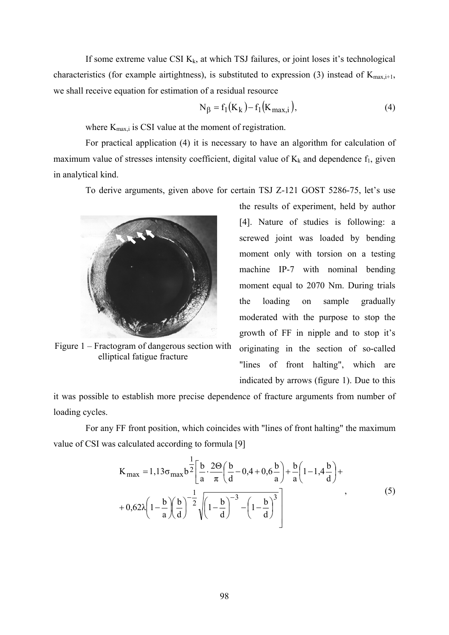If some extreme value CSI  $K_k$ , at which TSJ failures, or joint loses it's technological characteristics (for example airtightness), is substituted to expression (3) instead of  $K_{\text{max,i+1}}$ , we shall receive equation for estimation of a residual resource

$$
N_{\beta} = f_1(K_k) - f_1(K_{\text{max},i}),
$$
\n(4)

where  $K_{\text{max,i}}$  is CSI value at the moment of registration.

For practical application (4) it is necessary to have an algorithm for calculation of maximum value of stresses intensity coefficient, digital value of  $K_k$  and dependence  $f_1$ , given in analytical kind.

To derive arguments, given above for certain TSJ Z-121 GOST 5286-75, let's use



Figure 1 – Fractogram of dangerous section with elliptical fatigue fracture

the results of experiment, held by author [4]. Nature of studies is following: a screwed joint was loaded by bending moment only with torsion on a testing machine ІР-7 with nominal bending moment equal to 2070 Nm. During trials the loading on sample gradually moderated with the purpose to stop the growth of FF in nipple and to stop it's originating in the section of so-called "lines of front halting", which are indicated by arrows (figure 1). Due to this

it was possible to establish more precise dependence of fracture arguments from number of loading cycles.

For any FF front position, which coincides with "lines of front halting" the maximum value of CSI was calculated according to formula [9]

$$
K_{\text{max}} = 1,13\sigma_{\text{max}} b^{\frac{1}{2}} \left[ \frac{b}{a} \cdot \frac{2\Theta}{\pi} \left( \frac{b}{d} - 0,4 + 0,6\frac{b}{a} \right) + \frac{b}{a} \left( 1 - 1,4\frac{b}{d} \right) + \frac{b}{a} \left( 1 - 1,4\frac{b}{d} \right) \right]
$$
  
+ 0,62\lambda \left( 1 - \frac{b}{a} \right) \left( \frac{b}{d} \right)^{-\frac{1}{2}} \sqrt{\left( 1 - \frac{b}{d} \right)^{-3} - \left( 1 - \frac{b}{d} \right)^{3}} \qquad (5)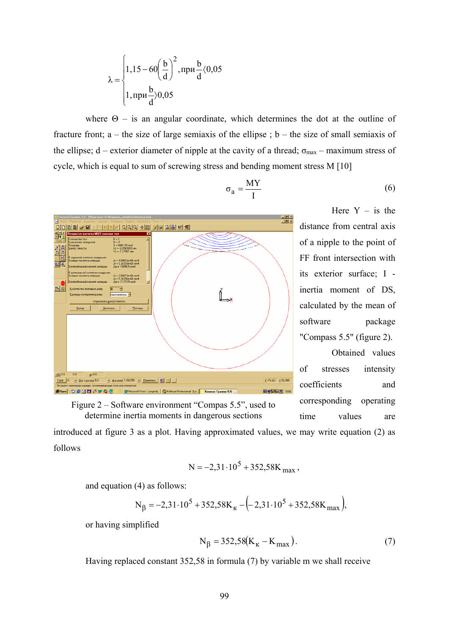$$
\lambda = \begin{cases} 1,15 - 60\left(\frac{b}{d}\right)^2, \text{npu}\frac{b}{d} \langle 0,05 \\ 1, \text{npu}\frac{b}{d} \rangle 0,05 \end{cases}
$$

where  $\Theta$  – is an angular coordinate, which determines the dot at the outline of fracture front;  $a$  – the size of large semiaxis of the ellipse;  $b$  – the size of small semiaxis of the ellipse; d – exterior diameter of nipple at the cavity of a thread;  $\sigma_{\text{max}}$  – maximum stress of cycle, which is equal to sum of screwing stress and bending moment stress M [10]

$$
\sigma_a = \frac{MY}{I} \tag{6}
$$



Here  $Y - is$  the distance from central axis of a nipple to the point of FF front intersection with its exterior surface; І inertia moment of DS, calculated by the mean of software package "Compass 5.5" (figure 2).

Obtained values of stresses intensity coefficients and corresponding operating time values are

Figure 2 – Software environment "Compas 5.5", used to determine inertia moments in dangerous sections

introduced at figure 3 as a plot. Having approximated values, we may write equation (2) as follows

$$
N = -2,31 \cdot 10^5 + 352,58K_{\text{max}} ,
$$

and equation (4) as follows:

$$
N_{\beta} = -2,31 \cdot 10^5 + 352,58K_{\kappa} - (-2,31 \cdot 10^5 + 352,58K_{\max}),
$$

or having simplified

$$
N_{\beta} = 352,58(K_{K} - K_{max}).
$$
 (7)

Having replaced constant 352,58 in formula (7) by variable m we shall receive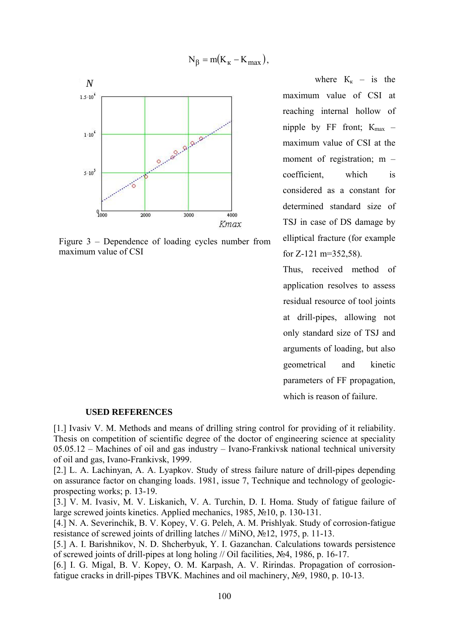$$
N_{\beta} = m(K_{K} - K_{max}),
$$



Figure 3 – Dependence of loading cycles number from maximum value of CSI

where  $K_{K}$  – is the maximum value of CSI at reaching internal hollow of nipple by FF front;  $K_{\text{max}}$  – maximum value of CSI at the moment of registration; m – coefficient, which is considered as a constant for determined standard size of TSJ in case of DS damage by elliptical fracture (for example for Z-121 m=352,58).

Thus, received method of application resolves to assess residual resource of tool joints at drill-pipes, allowing not only standard size of TSJ and arguments of loading, but also geometrical and kinetic parameters of FF propagation, which is reason of failure.

## **USED REFERENCES**

[1.] Ivasiv V. M. Methods and means of drilling string control for providing of it reliability. Thesis on competition of scientific degree of the doctor of engineering science at speciality 05.05.12 – Machines of oil and gas industry – Ivano-Frankivsk national technical university of oil and gas, Ivano-Frankivsk, 1999.

[2.] L. A. Lachinyan, A. A. Lyapkov. Study of stress failure nature of drill-pipes depending on assurance factor on changing loads. 1981, issue 7, Technique and technology of geologicprospecting works; p. 13-19.

[3.] V. M. Ivasiv, M. V. Liskanich, V. A. Turchin, D. I. Homa. Study of fatigue failure of large screwed joints kinetics. Applied mechanics, 1985, №10, p. 130-131.

[4.] N. A. Severinchik, B. V. Kopey, V. G. Peleh, A. M. Prishlyak. Study of corrosion-fatigue resistance of screwed joints of drilling latches // MiNO, №12, 1975, p. 11-13.

[5.] A. I. Barishnikov, N. D. Shcherbyuk, Y. I. Gazanchan. Calculations towards persistence of screwed joints of drill-pipes at long holing // Oil facilities, №4, 1986, p. 16-17.

[6.] I. G. Migal, B. V. Kopey, O. M. Karpash, A. V. Ririndas. Propagation of corrosionfatigue cracks in drill-pipes TBVK. Machines and oil machinery, №9, 1980, p. 10-13.